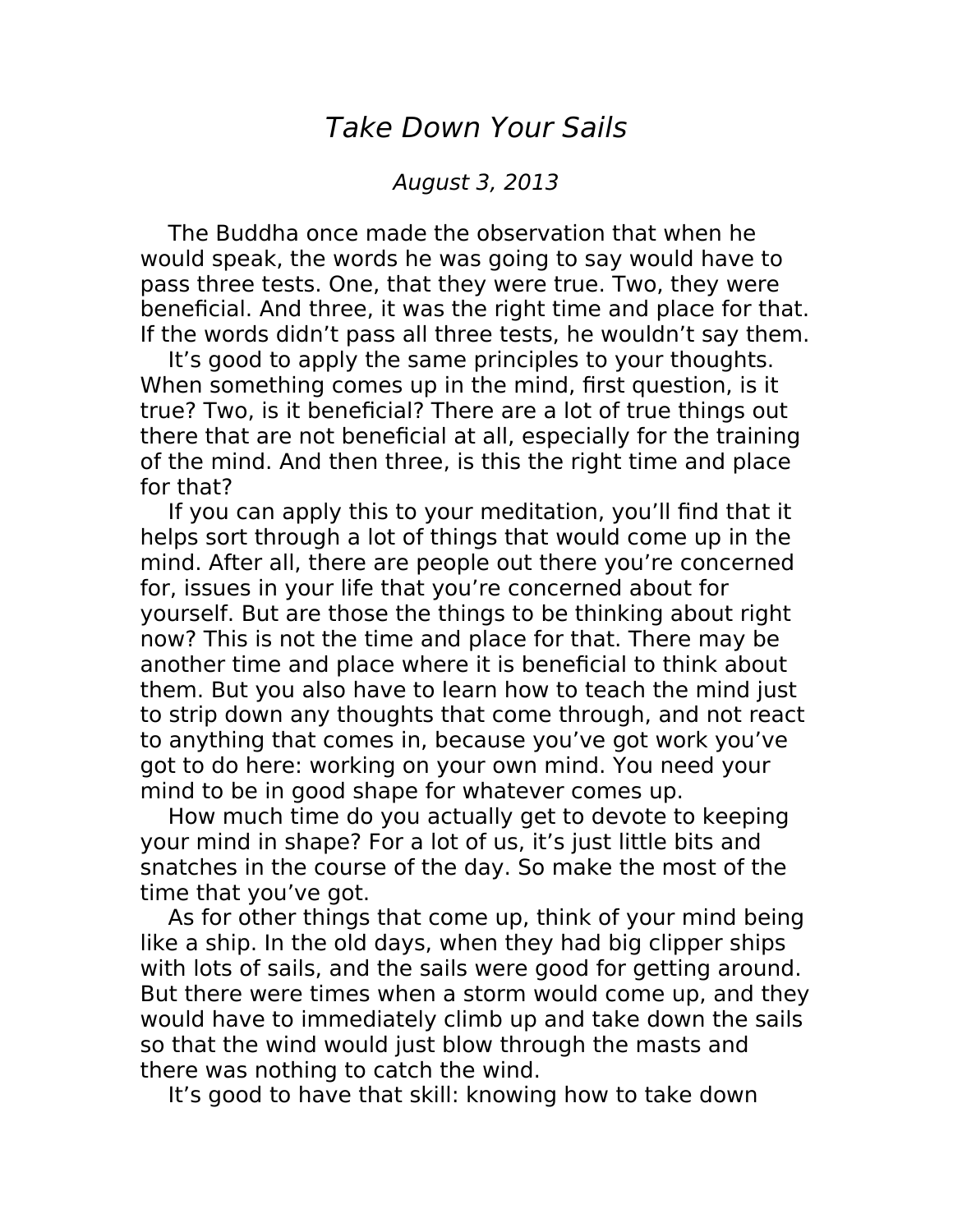## Take Down Your Sails

## August 3, 2013

The Buddha once made the observation that when he would speak, the words he was going to say would have to pass three tests. One, that they were true. Two, they were beneficial. And three, it was the right time and place for that. If the words didn't pass all three tests, he wouldn't say them.

It's good to apply the same principles to your thoughts. When something comes up in the mind, first question, is it true? Two, is it beneficial? There are a lot of true things out there that are not beneficial at all, especially for the training of the mind. And then three, is this the right time and place for that?

If you can apply this to your meditation, you'll find that it helps sort through a lot of things that would come up in the mind. After all, there are people out there you're concerned for, issues in your life that you're concerned about for yourself. But are those the things to be thinking about right now? This is not the time and place for that. There may be another time and place where it is beneficial to think about them. But you also have to learn how to teach the mind just to strip down any thoughts that come through, and not react to anything that comes in, because you've got work you've got to do here: working on your own mind. You need your mind to be in good shape for whatever comes up.

How much time do you actually get to devote to keeping your mind in shape? For a lot of us, it's just little bits and snatches in the course of the day. So make the most of the time that you've got.

As for other things that come up, think of your mind being like a ship. In the old days, when they had big clipper ships with lots of sails, and the sails were good for getting around. But there were times when a storm would come up, and they would have to immediately climb up and take down the sails so that the wind would just blow through the masts and there was nothing to catch the wind.

It's good to have that skill: knowing how to take down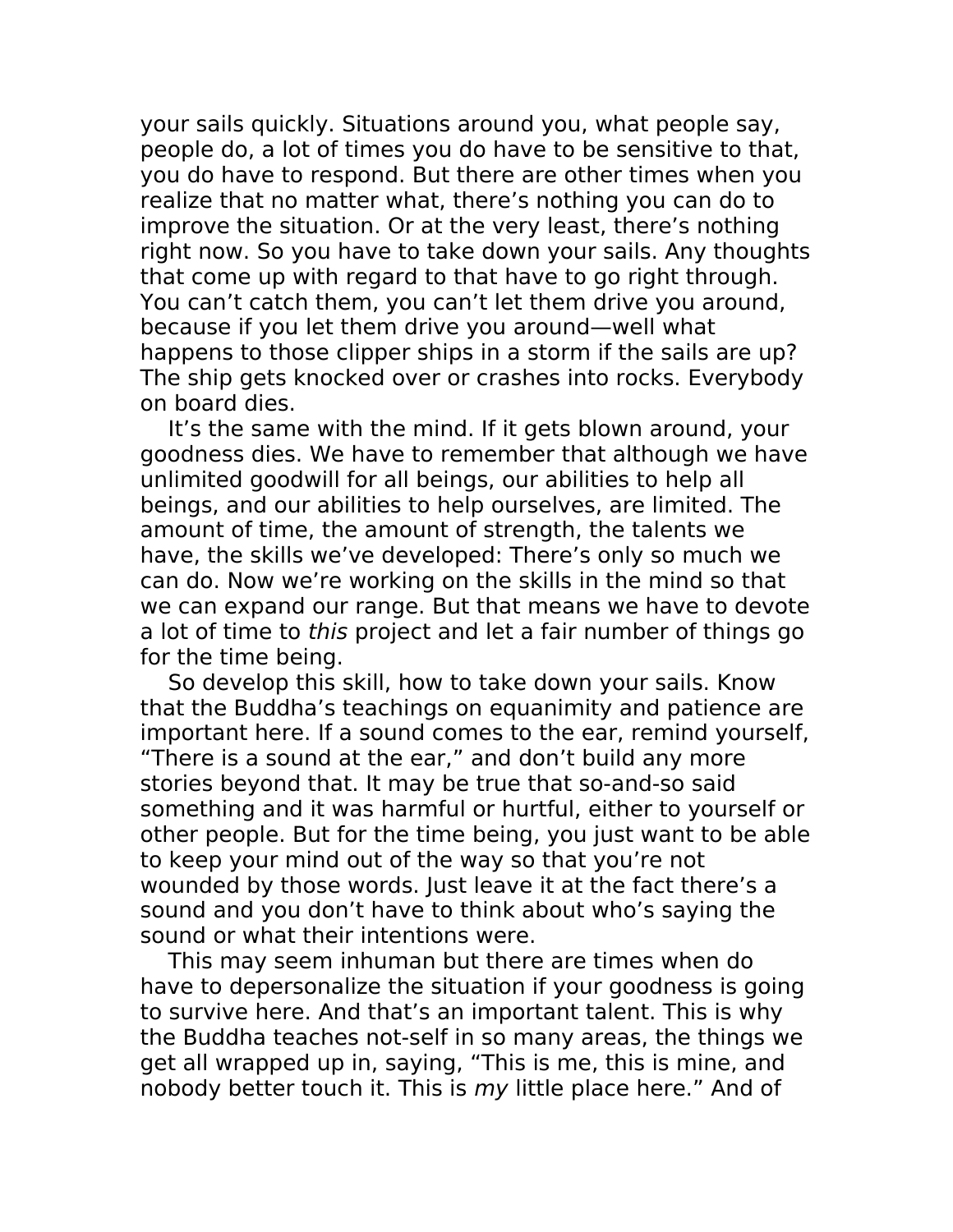your sails quickly. Situations around you, what people say, people do, a lot of times you do have to be sensitive to that, you do have to respond. But there are other times when you realize that no matter what, there's nothing you can do to improve the situation. Or at the very least, there's nothing right now. So you have to take down your sails. Any thoughts that come up with regard to that have to go right through. You can't catch them, you can't let them drive you around, because if you let them drive you around—well what happens to those clipper ships in a storm if the sails are up? The ship gets knocked over or crashes into rocks. Everybody on board dies.

It's the same with the mind. If it gets blown around, your goodness dies. We have to remember that although we have unlimited goodwill for all beings, our abilities to help all beings, and our abilities to help ourselves, are limited. The amount of time, the amount of strength, the talents we have, the skills we've developed: There's only so much we can do. Now we're working on the skills in the mind so that we can expand our range. But that means we have to devote a lot of time to this project and let a fair number of things go for the time being.

So develop this skill, how to take down your sails. Know that the Buddha's teachings on equanimity and patience are important here. If a sound comes to the ear, remind yourself, "There is a sound at the ear," and don't build any more stories beyond that. It may be true that so-and-so said something and it was harmful or hurtful, either to yourself or other people. But for the time being, you just want to be able to keep your mind out of the way so that you're not wounded by those words. Just leave it at the fact there's a sound and you don't have to think about who's saying the sound or what their intentions were.

This may seem inhuman but there are times when do have to depersonalize the situation if your goodness is going to survive here. And that's an important talent. This is why the Buddha teaches not-self in so many areas, the things we get all wrapped up in, saying, "This is me, this is mine, and nobody better touch it. This is my little place here." And of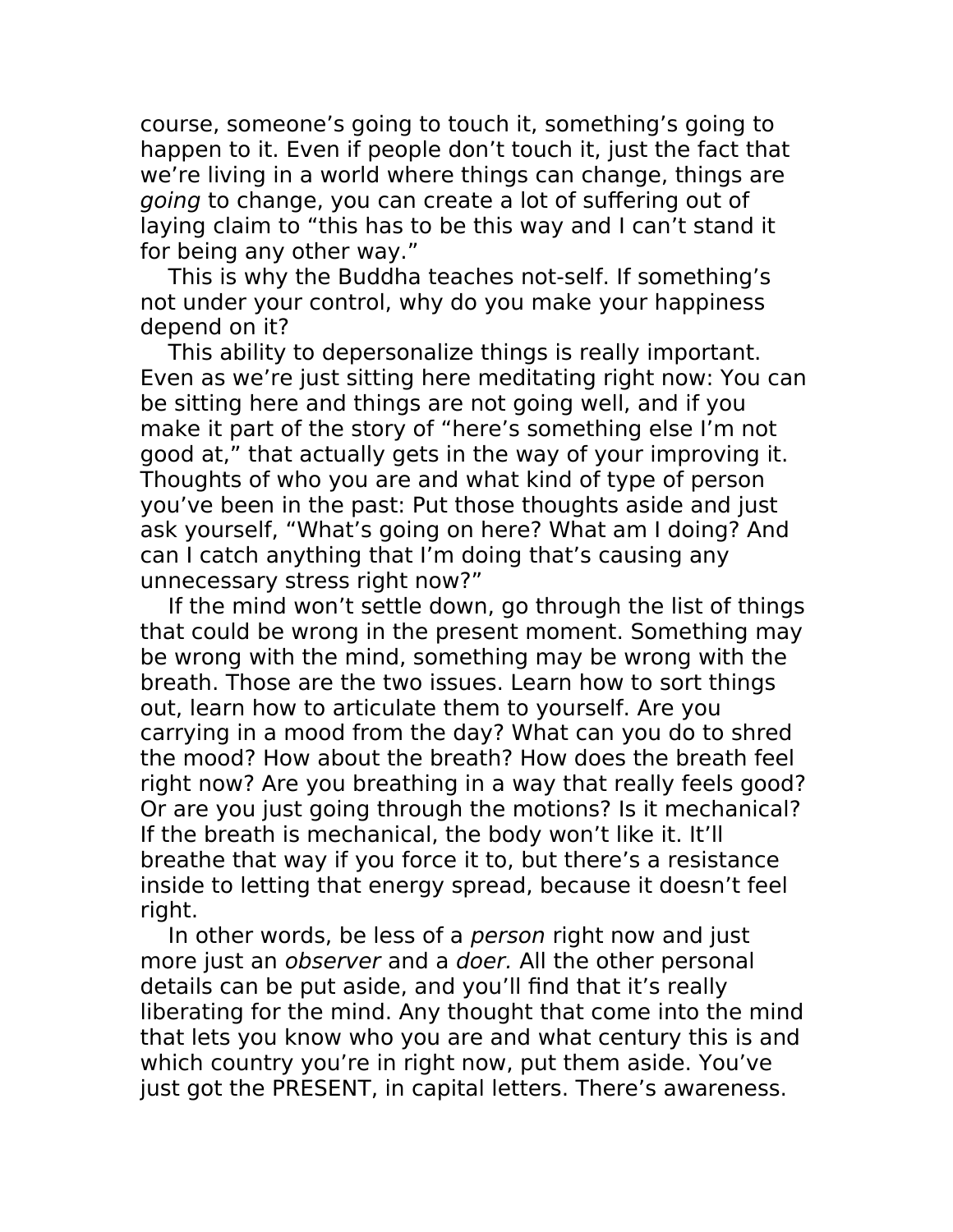course, someone's going to touch it, something's going to happen to it. Even if people don't touch it, just the fact that we're living in a world where things can change, things are going to change, you can create a lot of suffering out of laying claim to "this has to be this way and I can't stand it for being any other way."

This is why the Buddha teaches not-self. If something's not under your control, why do you make your happiness depend on it?

This ability to depersonalize things is really important. Even as we're just sitting here meditating right now: You can be sitting here and things are not going well, and if you make it part of the story of "here's something else I'm not good at," that actually gets in the way of your improving it. Thoughts of who you are and what kind of type of person you've been in the past: Put those thoughts aside and just ask yourself, "What's going on here? What am I doing? And can I catch anything that I'm doing that's causing any unnecessary stress right now?"

If the mind won't settle down, go through the list of things that could be wrong in the present moment. Something may be wrong with the mind, something may be wrong with the breath. Those are the two issues. Learn how to sort things out, learn how to articulate them to yourself. Are you carrying in a mood from the day? What can you do to shred the mood? How about the breath? How does the breath feel right now? Are you breathing in a way that really feels good? Or are you just going through the motions? Is it mechanical? If the breath is mechanical, the body won't like it. It'll breathe that way if you force it to, but there's a resistance inside to letting that energy spread, because it doesn't feel right.

In other words, be less of a *person* right now and just more just an observer and a doer. All the other personal details can be put aside, and you'll find that it's really liberating for the mind. Any thought that come into the mind that lets you know who you are and what century this is and which country you're in right now, put them aside. You've just got the PRESENT, in capital letters. There's awareness.